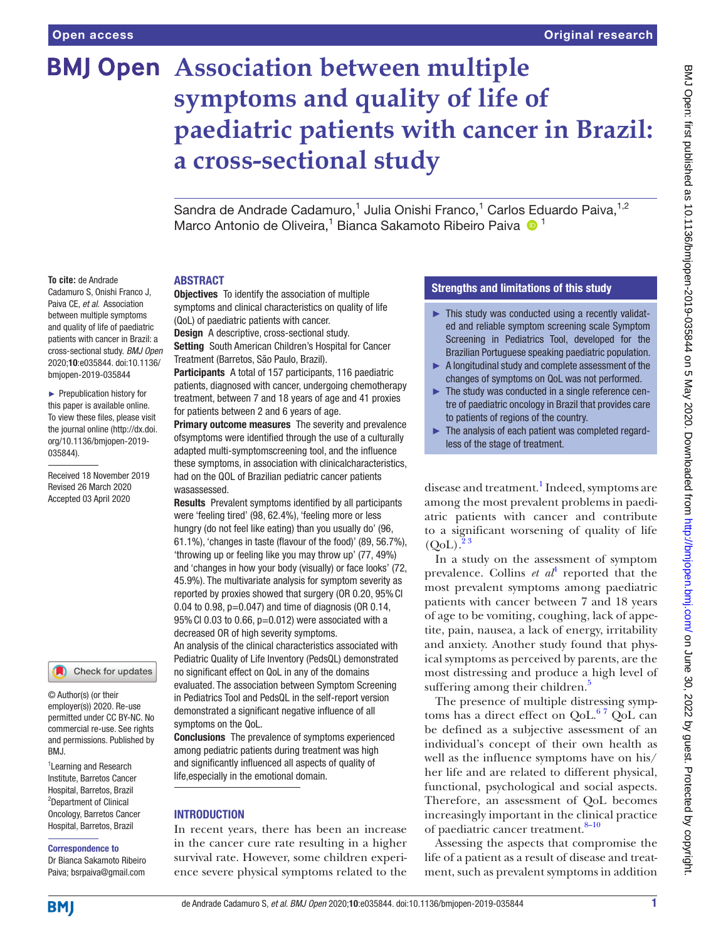# **BMJ Open Association between multiple symptoms and quality of life of paediatric patients with cancer in Brazil: a cross-sectional study**

Sandra de Andrade Cadamuro,<sup>1</sup> Julia Onishi Franco,<sup>1</sup> Carlos Eduardo Paiva,<sup>1,2</sup> Marco Antonio de Oliveira,<sup>1</sup> Bianca Sakamoto Ribeiro Paiva <sup>1</sup>

#### **To cite:** de Andrade

Cadamuro S, Onishi Franco J, Paiva CE, *et al*. Association between multiple symptoms and quality of life of paediatric patients with cancer in Brazil: a cross-sectional study. *BMJ Open* 2020;10:e035844. doi:10.1136/ bmjopen-2019-035844

► Prepublication history for this paper is available online. To view these files, please visit the journal online (http://dx.doi. org/10.1136/bmjopen-2019- 035844).

Received 18 November 2019 Revised 26 March 2020 Accepted 03 April 2020

#### Check for updates

© Author(s) (or their employer(s)) 2020. Re-use permitted under CC BY-NC. No commercial re-use. See rights and permissions. Published by BMJ.

<sup>1</sup> Learning and Research Institute, Barretos Cancer Hospital, Barretos, Brazil 2 Department of Clinical Oncology, Barretos Cancer Hospital, Barretos, Brazil

#### Correspondence to

Dr Bianca Sakamoto Ribeiro Paiva; bsrpaiva@gmail.com

#### **ABSTRACT**

Objectives To identify the association of multiple symptoms and clinical characteristics on quality of life (QoL) of paediatric patients with cancer. Design A descriptive, cross-sectional study.

Setting South American Children's Hospital for Cancer Treatment (Barretos, São Paulo, Brazil).

Participants A total of 157 participants, 116 paediatric patients, diagnosed with cancer, undergoing chemotherapy treatment, between 7 and 18 years of age and 41 proxies for patients between 2 and 6 years of age.

**Primary outcome measures** The severity and prevalence ofsymptoms were identified through the use of a culturally adapted multi-symptomscreening tool, and the influence these symptoms, in association with clinicalcharacteristics, had on the QOL of Brazilian pediatric cancer patients wasassessed.

Results Prevalent symptoms identified by all participants were 'feeling tired' (98, 62.4%), 'feeling more or less hungry (do not feel like eating) than you usually do' (96, 61.1%), 'changes in taste (flavour of the food)' (89, 56.7%), 'throwing up or feeling like you may throw up' (77, 49%) and 'changes in how your body (visually) or face looks' (72, 45.9%). The multivariate analysis for symptom severity as reported by proxies showed that surgery (OR 0.20, 95% CI 0.04 to 0.98, p=0.047) and time of diagnosis (OR 0.14, 95% CI 0.03 to 0.66,  $p=0.012$ ) were associated with a decreased OR of high severity symptoms.

An analysis of the clinical characteristics associated with Pediatric Quality of Life Inventory (PedsQL) demonstrated no significant effect on QoL in any of the domains evaluated. The association between Symptom Screening in Pediatrics Tool and PedsQL in the self-report version demonstrated a significant negative influence of all symptoms on the QoL.

Conclusions The prevalence of symptoms experienced among pediatric patients during treatment was high and significantly influenced all aspects of quality of life,especially in the emotional domain.

#### **INTRODUCTION**

In recent years, there has been an increase in the cancer cure rate resulting in a higher survival rate. However, some children experience severe physical symptoms related to the

# Strengths and limitations of this study

- ► This study was conducted using a recently validated and reliable symptom screening scale Symptom Screening in Pediatrics Tool, developed for the Brazilian Portuguese speaking paediatric population.
- ► A longitudinal study and complete assessment of the changes of symptoms on QoL was not performed.
- ► The study was conducted in a single reference centre of paediatric oncology in Brazil that provides care to patients of regions of the country.
- ► The analysis of each patient was completed regardless of the stage of treatment.

disease and treatment.<sup>[1](#page-10-0)</sup> Indeed, symptoms are among the most prevalent problems in paediatric patients with cancer and contribute to a significant worsening of quality of life  $(QoL)^{23}$ 

In a study on the assessment of symptom prevalence. Collins  $et \text{ } at^4$  $et \text{ } at^4$  reported that the most prevalent symptoms among paediatric patients with cancer between 7 and 18 years of age to be vomiting, coughing, lack of appetite, pain, nausea, a lack of energy, irritability and anxiety. Another study found that physical symptoms as perceived by parents, are the most distressing and produce a high level of suffering among their children.<sup>[5](#page-10-3)</sup>

The presence of multiple distressing symptoms has a direct effect on  $QoL.$ <sup>67</sup> QoL can be defined as a subjective assessment of an individual's concept of their own health as well as the influence symptoms have on his/ her life and are related to different physical, functional, psychological and social aspects. Therefore, an assessment of QoL becomes increasingly important in the clinical practice of paediatric cancer treatment.<sup>8-10</sup>

Assessing the aspects that compromise the life of a patient as a result of disease and treatment, such as prevalent symptoms in addition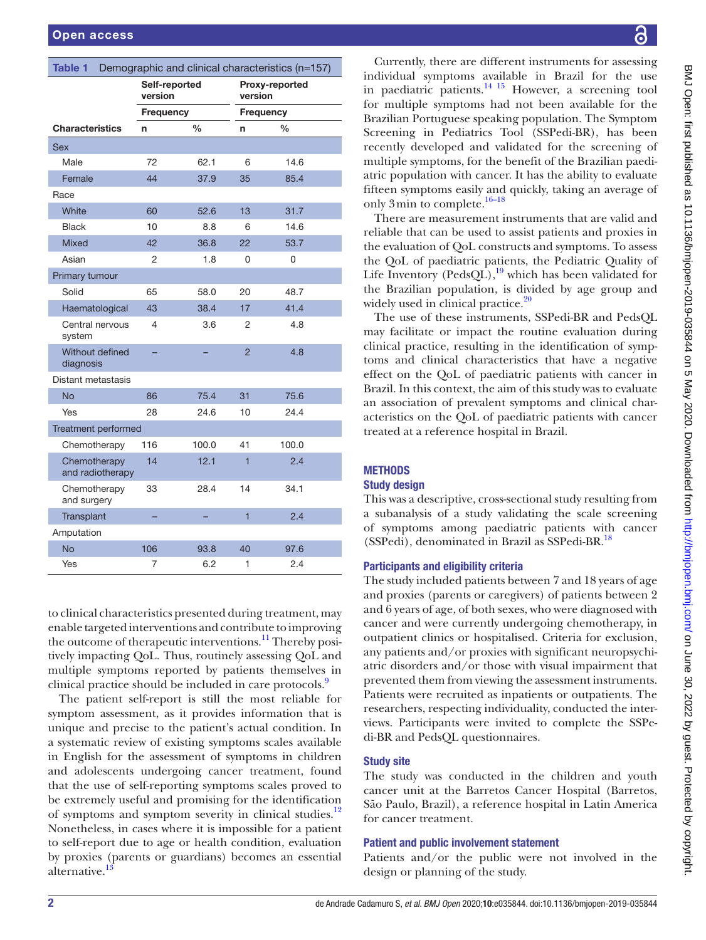<span id="page-1-0"></span>

| Demographic and clinical characteristics (n=157)<br>Table 1 |                  |               |                |                  |  |
|-------------------------------------------------------------|------------------|---------------|----------------|------------------|--|
|                                                             | version          | Self-reported | version        | Proxy-reported   |  |
|                                                             | <b>Frequency</b> |               |                | <b>Frequency</b> |  |
| <b>Characteristics</b>                                      | n                | $\frac{0}{0}$ | n              | $\frac{0}{0}$    |  |
| <b>Sex</b>                                                  |                  |               |                |                  |  |
| Male                                                        | 72               | 62.1          | 6              | 14.6             |  |
| Female                                                      | 44               | 37.9          | 35             | 85.4             |  |
| Race                                                        |                  |               |                |                  |  |
| White                                                       | 60               | 52.6          | 13             | 31.7             |  |
| <b>Black</b>                                                | 10               | 8.8           | 6              | 14.6             |  |
| <b>Mixed</b>                                                | 42               | 36.8          | 22             | 53.7             |  |
| Asian                                                       | 2                | 1.8           | 0              | 0                |  |
| Primary tumour                                              |                  |               |                |                  |  |
| Solid                                                       | 65               | 58.0          | 20             | 48.7             |  |
| Haematological                                              | 43               | 38.4          | 17             | 41.4             |  |
| Central nervous<br>system                                   | 4                | 3.6           | 2              | 4.8              |  |
| Without defined<br>diagnosis                                |                  |               | $\overline{2}$ | 4.8              |  |
| Distant metastasis                                          |                  |               |                |                  |  |
| <b>No</b>                                                   | 86               | 75.4          | 31             | 75.6             |  |
| Yes                                                         | 28               | 24.6          | 10             | 24.4             |  |
| Treatment performed                                         |                  |               |                |                  |  |
| Chemotherapy                                                | 116              | 100.0         | 41             | 100.0            |  |
| Chemotherapy<br>and radiotherapy                            | 14               | 12.1          | 1              | 2.4              |  |
| Chemotherapy<br>and surgery                                 | 33               | 28.4          | 14             | 34.1             |  |
| Transplant                                                  |                  |               | $\overline{1}$ | 2.4              |  |
| Amputation                                                  |                  |               |                |                  |  |
| <b>No</b>                                                   | 106              | 93.8          | 40             | 97.6             |  |
| Yes                                                         | 7                | 6.2           | 1              | 2.4              |  |

to clinical characteristics presented during treatment, may enable targeted interventions and contribute to improving the outcome of therapeutic interventions.<sup>11</sup> Thereby positively impacting QoL. Thus, routinely assessing QoL and multiple symptoms reported by patients themselves in clinical practice should be included in care protocols.<sup>9</sup>

The patient self-report is still the most reliable for symptom assessment, as it provides information that is unique and precise to the patient's actual condition. In a systematic review of existing symptoms scales available in English for the assessment of symptoms in children and adolescents undergoing cancer treatment, found that the use of self-reporting symptoms scales proved to be extremely useful and promising for the identification of symptoms and symptom severity in clinical studies.<sup>12</sup> Nonetheless, in cases where it is impossible for a patient to self-report due to age or health condition, evaluation by proxies (parents or guardians) becomes an essential alternative.<sup>1</sup>

Currently, there are different instruments for assessing individual symptoms available in Brazil for the use in paediatric patients. $^{14}$  15 However, a screening tool for multiple symptoms had not been available for the Brazilian Portuguese speaking population. The Symptom Screening in Pediatrics Tool (SSPedi-BR), has been recently developed and validated for the screening of multiple symptoms, for the benefit of the Brazilian paediatric population with cancer. It has the ability to evaluate fifteen symptoms easily and quickly, taking an average of only 3 min to complete. $16-18$ 

There are measurement instruments that are valid and reliable that can be used to assist patients and proxies in the evaluation of QoL constructs and symptoms. To assess the QoL of paediatric patients, the Pediatric Quality of Life Inventory  $(PedsQL)$ ,<sup>19</sup> which has been validated for the Brazilian population, is divided by age group and widely used in clinical practice.<sup>[20](#page-11-6)</sup>

The use of these instruments, SSPedi-BR and PedsQL may facilitate or impact the routine evaluation during clinical practice, resulting in the identification of symptoms and clinical characteristics that have a negative effect on the QoL of paediatric patients with cancer in Brazil. In this context, the aim of this study was to evaluate an association of prevalent symptoms and clinical characteristics on the QoL of paediatric patients with cancer treated at a reference hospital in Brazil.

# **METHODS**

# Study design

This was a descriptive, cross-sectional study resulting from a subanalysis of a study validating the scale screening of symptoms among paediatric patients with cancer (SSPedi), denominated in Brazil as SSPedi-BR.[18](#page-11-7)

# Participants and eligibility criteria

The study included patients between 7 and 18 years of age and proxies (parents or caregivers) of patients between 2 and 6 years of age, of both sexes, who were diagnosed with cancer and were currently undergoing chemotherapy, in outpatient clinics or hospitalised. Criteria for exclusion, any patients and/or proxies with significant neuropsychiatric disorders and/or those with visual impairment that prevented them from viewing the assessment instruments. Patients were recruited as inpatients or outpatients. The researchers, respecting individuality, conducted the interviews. Participants were invited to complete the SSPedi-BR and PedsQL questionnaires.

# Study site

The study was conducted in the children and youth cancer unit at the Barretos Cancer Hospital (Barretos, São Paulo, Brazil), a reference hospital in Latin America for cancer treatment.

# Patient and public involvement statement

Patients and/or the public were not involved in the design or planning of the study.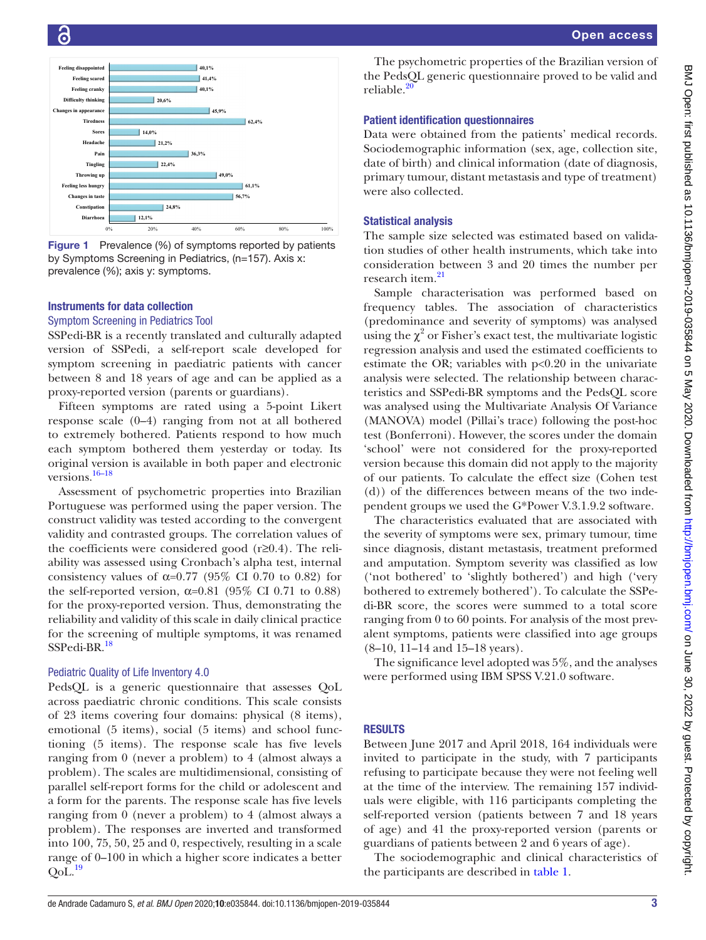

<span id="page-2-0"></span>Figure 1 Prevalence (%) of symptoms reported by patients by Symptoms Screening in Pediatrics, (n=157). Axis x: prevalence (%); axis y: symptoms.

#### Instruments for data collection

 $\overline{G}$ 

Symptom Screening in Pediatrics Tool

SSPedi-BR is a recently translated and culturally adapted version of SSPedi, a self-report scale developed for symptom screening in paediatric patients with cancer between 8 and 18 years of age and can be applied as a proxy-reported version (parents or guardians).

Fifteen symptoms are rated using a 5-point Likert response scale (0–4) ranging from not at all bothered to extremely bothered. Patients respond to how much each symptom bothered them yesterday or today. Its original version is available in both paper and electronic versions.[16–18](#page-11-4)

Assessment of psychometric properties into Brazilian Portuguese was performed using the paper version. The construct validity was tested according to the convergent validity and contrasted groups. The correlation values of the coefficients were considered good (r≥0.4). The reliability was assessed using Cronbach's alpha test, internal consistency values of  $\alpha=0.77$  (95% CI 0.70 to 0.82) for the self-reported version,  $\alpha$ =0.81 (95% CI 0.71 to 0.88) for the proxy-reported version. Thus, demonstrating the reliability and validity of this scale in daily clinical practice for the screening of multiple symptoms, it was renamed SSPedi-BR.<sup>18</sup>

#### Pediatric Quality of Life Inventory 4.0

PedsQL is a generic questionnaire that assesses QoL across paediatric chronic conditions. This scale consists of 23 items covering four domains: physical (8 items), emotional (5 items), social (5 items) and school functioning (5 items). The response scale has five levels ranging from 0 (never a problem) to 4 (almost always a problem). The scales are multidimensional, consisting of parallel self-report forms for the child or adolescent and a form for the parents. The response scale has five levels ranging from 0 (never a problem) to 4 (almost always a problem). The responses are inverted and transformed into 100, 75, 50, 25 and 0, respectively, resulting in a scale range of 0–100 in which a higher score indicates a better  $QoL.$ <sup>[19](#page-11-5)</sup>

The psychometric properties of the Brazilian version of the PedsQL generic questionnaire proved to be valid and reliable.<sup>20</sup>

#### Patient identification questionnaires

Data were obtained from the patients' medical records. Sociodemographic information (sex, age, collection site, date of birth) and clinical information (date of diagnosis, primary tumour, distant metastasis and type of treatment) were also collected.

#### Statistical analysis

The sample size selected was estimated based on validation studies of other health instruments, which take into consideration between 3 and 20 times the number per research item.<sup>[21](#page-11-8)</sup>

Sample characterisation was performed based on frequency tables. The association of characteristics (predominance and severity of symptoms) was analysed using the  $\chi^2$  or Fisher's exact test, the multivariate logistic regression analysis and used the estimated coefficients to estimate the OR; variables with  $p<0.20$  in the univariate analysis were selected. The relationship between characteristics and SSPedi-BR symptoms and the PedsQL score was analysed using the Multivariate Analysis Of Variance (MANOVA) model (Pillai's trace) following the post-hoc test (Bonferroni). However, the scores under the domain 'school' were not considered for the proxy-reported version because this domain did not apply to the majority of our patients. To calculate the effect size (Cohen test (d)) of the differences between means of the two independent groups we used the G\*Power V.3.1.9.2 software.

The characteristics evaluated that are associated with the severity of symptoms were sex, primary tumour, time since diagnosis, distant metastasis, treatment preformed and amputation. Symptom severity was classified as low ('not bothered' to 'slightly bothered') and high ('very bothered to extremely bothered'). To calculate the SSPedi-BR score, the scores were summed to a total score ranging from 0 to 60 points. For analysis of the most prevalent symptoms, patients were classified into age groups (8–10, 11–14 and 15–18 years).

The significance level adopted was 5%, and the analyses were performed using IBM SPSS V.21.0 software.

#### **RESULTS**

Between June 2017 and April 2018, 164 individuals were invited to participate in the study, with 7 participants refusing to participate because they were not feeling well at the time of the interview. The remaining 157 individuals were eligible, with 116 participants completing the self-reported version (patients between 7 and 18 years of age) and 41 the proxy-reported version (parents or guardians of patients between 2 and 6 years of age).

The sociodemographic and clinical characteristics of the participants are described in [table](#page-1-0) 1.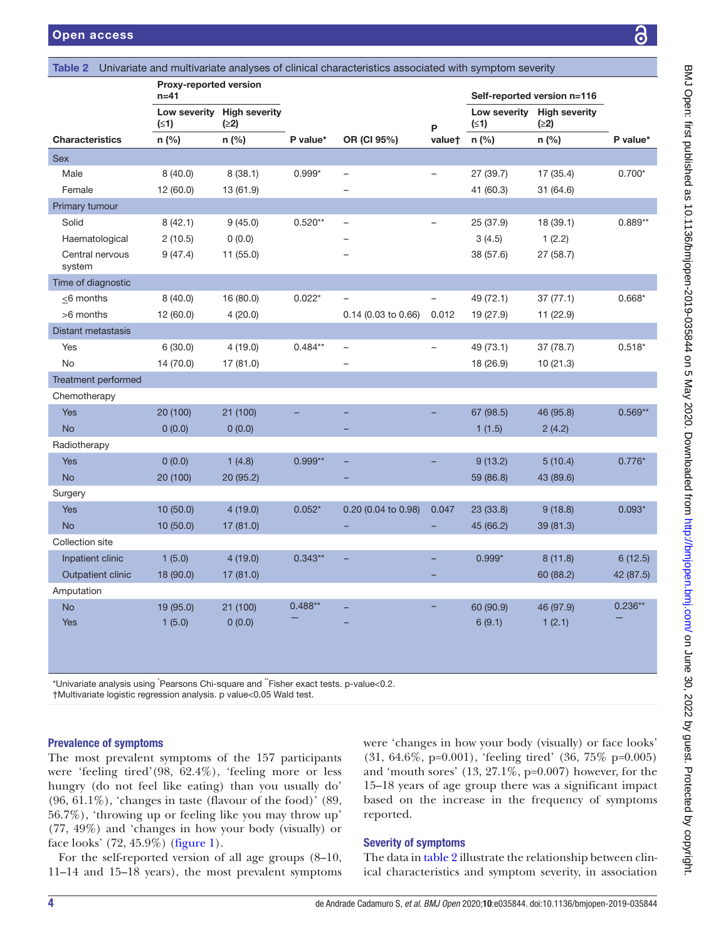Tre Ch

Collection site

Amputation

<span id="page-3-0"></span>

| <b>Open access</b>        |                                    |                                    |           |                                                                                                   |                          |                      |                              | 3         |
|---------------------------|------------------------------------|------------------------------------|-----------|---------------------------------------------------------------------------------------------------|--------------------------|----------------------|------------------------------|-----------|
| <b>Table 2</b>            |                                    |                                    |           | Univariate and multivariate analyses of clinical characteristics associated with symptom severity |                          |                      |                              |           |
|                           | Proxy-reported version<br>$n = 41$ |                                    |           |                                                                                                   |                          |                      | Self-reported version n=116  |           |
|                           | (≤1)                               | Low severity High severity<br>(≥2) |           |                                                                                                   | P                        | Low severity<br>(≤1) | <b>High severity</b><br>(≥2) |           |
| <b>Characteristics</b>    | $n$ (%)                            | n (%)                              | P value*  | OR (CI 95%)                                                                                       | value†                   | $n$ (%)              | n (%)                        | P value*  |
| <b>Sex</b>                |                                    |                                    |           |                                                                                                   |                          |                      |                              |           |
| Male                      | 8(40.0)                            | 8(38.1)                            | $0.999*$  | $\overline{\phantom{0}}$                                                                          | $\overline{\phantom{0}}$ | 27 (39.7)            | 17 (35.4)                    | $0.700*$  |
| Female                    | 12 (60.0)                          | 13 (61.9)                          |           |                                                                                                   |                          | 41 (60.3)            | 31 (64.6)                    |           |
| Primary tumour            |                                    |                                    |           |                                                                                                   |                          |                      |                              |           |
| Solid                     | 8(42.1)                            | 9(45.0)                            | $0.520**$ | $\overline{\phantom{m}}$                                                                          | $\overline{\phantom{0}}$ | 25 (37.9)            | 18 (39.1)                    | $0.889**$ |
| Haematological            | 2(10.5)                            | 0(0.0)                             |           |                                                                                                   |                          | 3(4.5)               | 1(2.2)                       |           |
| Central nervous<br>system | 9(47.4)                            | 11 (55.0)                          |           |                                                                                                   |                          | 38 (57.6)            | 27 (58.7)                    |           |
| Time of diagnostic        |                                    |                                    |           |                                                                                                   |                          |                      |                              |           |
| $<$ 6 months              | 8(40.0)                            | 16 (80.0)                          | $0.022*$  | $\qquad \qquad -$                                                                                 |                          | 49 (72.1)            | 37(77.1)                     | $0.668*$  |
| >6 months                 | 12 (60.0)                          | 4(20.0)                            |           | 0.14 (0.03 to 0.66)                                                                               | 0.012                    | 19 (27.9)            | 11(22.9)                     |           |
| <b>Distant metastasis</b> |                                    |                                    |           |                                                                                                   |                          |                      |                              |           |
| Yes                       | 6(30.0)                            | 4(19.0)                            | $0.484**$ | $\overline{\phantom{0}}$                                                                          | $\overline{\phantom{0}}$ | 49 (73.1)            | 37(78.7)                     | $0.518*$  |
| <b>No</b>                 | 14 (70.0)                          | 17 (81.0)                          |           |                                                                                                   |                          | 18 (26.9)            | 10(21.3)                     |           |
| Treatment performed       |                                    |                                    |           |                                                                                                   |                          |                      |                              |           |
| Chemotherapy              |                                    |                                    |           |                                                                                                   |                          |                      |                              |           |
| Yes                       | 20 (100)                           | 21 (100)                           |           |                                                                                                   |                          | 67 (98.5)            | 46 (95.8)                    | $0.569**$ |
| <b>No</b>                 | 0(0.0)                             | 0(0.0)                             |           |                                                                                                   |                          | 1(1.5)               | 2(4.2)                       |           |
| Radiotherapy              |                                    |                                    |           |                                                                                                   |                          |                      |                              |           |
| Yes                       | 0(0.0)                             | 1(4.8)                             | $0.999**$ |                                                                                                   |                          | 9(13.2)              | 5(10.4)                      | $0.776*$  |
| <b>No</b>                 | 20 (100)                           | 20 (95.2)                          |           |                                                                                                   |                          | 59 (86.8)            | 43 (89.6)                    |           |
| Surgery                   |                                    |                                    |           |                                                                                                   |                          |                      |                              |           |
| Yes                       | 10(50.0)                           | 4(19.0)                            | $0.052*$  | 0.20 (0.04 to 0.98)                                                                               | 0.047                    | 23 (33.8)            | 9(18.8)                      | $0.093*$  |
| <b>No</b>                 | 10(50.0)                           | 17 (81.0)                          |           |                                                                                                   |                          | 45 (66.2)            | 39 (81.3)                    |           |

Inpatient clinic 1 (5.0) 4 (19.0) 0.343\*\* – – 0.999\* 8 (11.8) 6 (12.5) Outpatient clinic 18 (90.0) 17 (81.0) – 60 (88.2) 42 (87.5)

 $\sim$  1 (5.0)  $\sim$  0 (0.0)  $\sim$  - 6 (9.1) 1 (2.1)  $\sim$ 

—

\*Univariate analysis using \* Pearsons Chi-square and \*\*Fisher exact tests. p-value<0.2.

†Multivariate logistic regression analysis. p value<0.05 Wald test.

No 19 (95.0) 21 (100) 0.488\*\*

#### Prevalence of symptoms

The most prevalent symptoms of the 157 participants were 'feeling tired'(98, 62.4%), 'feeling more or less hungry (do not feel like eating) than you usually do' (96, 61.1%), 'changes in taste (flavour of the food)' (89, 56.7%), 'throwing up or feeling like you may throw up' (77, 49%) and 'changes in how your body (visually) or face looks' (72, 45.9%) ([figure](#page-2-0) 1).

For the self-reported version of all age groups (8–10, 11–14 and 15–18 years), the most prevalent symptoms were 'changes in how your body (visually) or face looks' (31, 64.6%, p=0.001), 'feeling tired' (36, 75% p=0.005) and 'mouth sores' (13, 27.1%, p=0.007) however, for the 15–18 years of age group there was a significant impact based on the increase in the frequency of symptoms reported.

– – 60 (90.9) 46 (97.9) 0.236\*\*

#### Severity of symptoms

The data in [table](#page-3-0) 2 illustrate the relationship between clinical characteristics and symptom severity, in association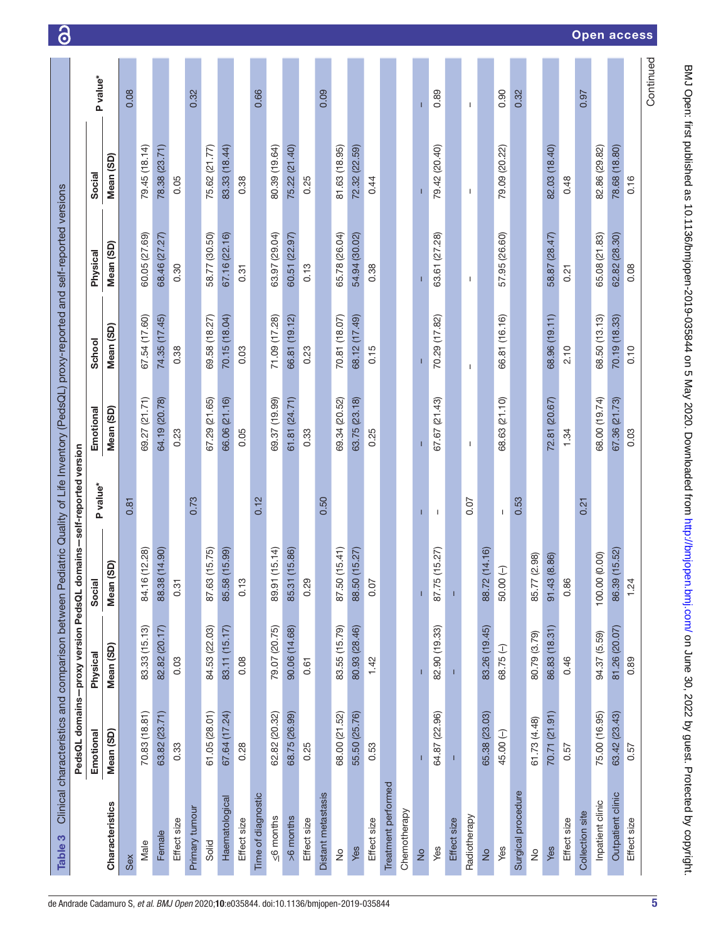| Table 3             |                  |               | Clinical characteristics and comparison between Pediatric Quality of Life Inventory (PedsQL) proxy-reported and self-reported versions |              |                  |               |                  |               |              |
|---------------------|------------------|---------------|----------------------------------------------------------------------------------------------------------------------------------------|--------------|------------------|---------------|------------------|---------------|--------------|
|                     |                  |               | PedsQL domains-proxy version PedsQL domains-self-reported version                                                                      |              |                  |               |                  |               |              |
|                     | Emotional        | Physical      | Social                                                                                                                                 | P value*     | Emotional        | School        | Physical         | Social        | P value*     |
| Characteristics     | Mean (SD)        | Mean (SD)     | (3D)<br>Mean                                                                                                                           |              | Mean (SD)        | Mean (SD)     | Mean (SD)        | Mean (SD)     |              |
| Sex                 |                  |               |                                                                                                                                        | 0.81         |                  |               |                  |               | 0.08         |
| Male                | 70.83 (18.81)    | 83.33 (15.13) | 6(12.28)<br>84.1                                                                                                                       |              | 69.27 (21.71)    | 67.54 (17.60) | 60.05 (27.69)    | 79.45 (18.14) |              |
| Female              | 63.82 (23.71)    | 82.82 (20.17) | 18 (14.90)<br>88.3                                                                                                                     |              | 64.19 (20.78)    | 74.35 (17.45) | 68.46 (27.27)    | 78.38 (23.71) |              |
| Effect size         | 0.33             | 0.03          | $\overline{\phantom{0}}$<br>$\frac{3}{2}$                                                                                              |              | 0.23             | 0.38          | 0.30             | 0.05          |              |
| Primary tumour      |                  |               |                                                                                                                                        | 0.73         |                  |               |                  |               | 0.32         |
| Solid               | 61.05(28.01)     | 84.53 (22.03) | 87.63 (15.75)                                                                                                                          |              | 67.29 (21.65)    | 69.58 (18.27) | 58.77 (30.50)    | 75.62 (21.77) |              |
| Haematological      | 67.64 (17.24)    | 83.11 (15.17) | 85.58 (15.99)                                                                                                                          |              | 66.06 (21.16)    | 70.15 (18.04) | 67.16 (22.16)    | 83.33 (18.44) |              |
| Effect size         | 0.28             | 0.08          | 0.13                                                                                                                                   |              | 0.05             | 0.03          | 0.31             | 0.38          |              |
| Time of diagnostic  |                  |               |                                                                                                                                        | 0.12         |                  |               |                  |               | 0.66         |
| $\leq 6$ months     | 62.82 (20.32)    | 79.07 (20.75) | 1(15.14)<br>89.9                                                                                                                       |              | 69.37 (19.99)    | 71.09 (17.28) | 63.97 (29.04)    | 80.39 (19.64) |              |
| >6 months           | 68.75 (26.99)    | 90.06 (14.68) | 11 (15.86)<br>85.3                                                                                                                     |              | (24.71)<br>61.81 | 66.81 (19.12) | (22.97)<br>60.51 | 75.22 (21.40) |              |
| Effect size         | 0.25             | 0.61          | 0.29                                                                                                                                   |              | 0.33             | 0.23          | 0.13             | 0.25          |              |
| Distant metastasis  |                  |               |                                                                                                                                        | 0.50         |                  |               |                  |               | 0.09         |
| $\frac{1}{2}$       | 68.00 (21.52)    | 83.55 (15.79) | 87.50 (15.41)                                                                                                                          |              | 69.34 (20.52)    | 70.81 (18.07) | 65.78 (26.04)    | 81.63 (18.95) |              |
| Yes                 | 55.50 (25.76)    | 80.93 (28.46) | 88.50 (15.27)                                                                                                                          |              | 63.75 (23.18)    | 68.12 (17.49) | 54.94 (30.02)    | 72.32 (22.59) |              |
| Effect size         | 0.53             | 1.42          | 0.07                                                                                                                                   |              | 0.25             | 0.15          | 0.38             | 0.44          |              |
| Treatment performed |                  |               |                                                                                                                                        |              |                  |               |                  |               |              |
| Chemotherapy        |                  |               |                                                                                                                                        |              |                  |               |                  |               |              |
| $\frac{1}{2}$       |                  |               | Т                                                                                                                                      | T            |                  |               |                  |               |              |
| Yes                 | 64.87 (22.96)    | 82.90 (19.33) | 5(15.27)<br>87.7                                                                                                                       | $\mathbf{I}$ | 67.67 (21.43)    | 70.29 (17.82) | 63.61 (27.28)    | 79.42 (20.40) | 0.89         |
| Effect size         | п                |               | П                                                                                                                                      |              |                  |               |                  |               |              |
| Radiotherapy        |                  |               |                                                                                                                                        | 0.07         | $\mathsf{I}$     | $\mathbf{I}$  | $\mathbf{I}$     | $\mathsf{I}$  | $\mathbf{I}$ |
| $\frac{1}{2}$       | 65.38 (23.03)    | 83.26 (19.45) | 2(14.16)<br>88.7                                                                                                                       |              |                  |               |                  |               |              |
| Yes                 | 45.00 (-)        | 68.75 (-)     | 50.00 (-)                                                                                                                              | Τ.           | 68.63 (21.10)    | 66.81 (16.16) | 57.95 (26.60)    | 79.09 (20.22) | 0.90         |
| Surgical procedure  |                  |               |                                                                                                                                        | 0.53         |                  |               |                  |               | 0.32         |
| $\frac{1}{2}$       | 61.73 (4.48)     | 80.79 (3.79)  | 7(2.98)<br>85.7                                                                                                                        |              |                  |               |                  |               |              |
| Yes                 | (21.91)<br>70.71 | 86.83 (18.31) | (3 (8.86)<br>91.4                                                                                                                      |              | 72.81 (20.67)    | 68.96 (19.11) | 58.87 (28.47)    | 82.03 (18.40) |              |
| Effect size         | 0.57             | 0.46          | 0.86                                                                                                                                   |              | 1.34             | 2.10          | 0.21             | 0.48          |              |
| Collection site     |                  |               |                                                                                                                                        | 0.21         |                  |               |                  |               | 0.97         |
| Inpatient clinic    | 75.00 (16.95)    | 94.37 (5.59)  | 100.00 (0.00)                                                                                                                          |              | 68.00 (19.74)    | 68.50 (13.13) | 65.08 (21.83)    | 82.86 (29.82) |              |
| Outpatient clinic   | 63.42 (23.43)    | 81.26 (20.07) | 86.39 (15.52)<br>1.24                                                                                                                  |              | 67.36 (21.73)    | 70.19 (18.33) | 62.82 (28.30)    | 78.68 (18.80) |              |
| Effect size         | 0.57             | 0.89          |                                                                                                                                        |              | 0.03             | 0.10          | 0.08             | 0.16          |              |
|                     |                  |               |                                                                                                                                        |              |                  |               |                  |               | Continued    |

ි

<span id="page-4-0"></span>5

BMJ Open: first published as 10.1136/bmjopen-2019-035844 on 5 May 2020. Downloaded from http://bmjopen.bmj.com/ on June 30, 2022 by guest. Protected by copyright. BMJ Open: first published as 10.1136/bmjopen-2019-035844 on 5 May 2020. Downloaded from Dumaded from pp. 2020. Dy guest. Protected by copyright.

Open access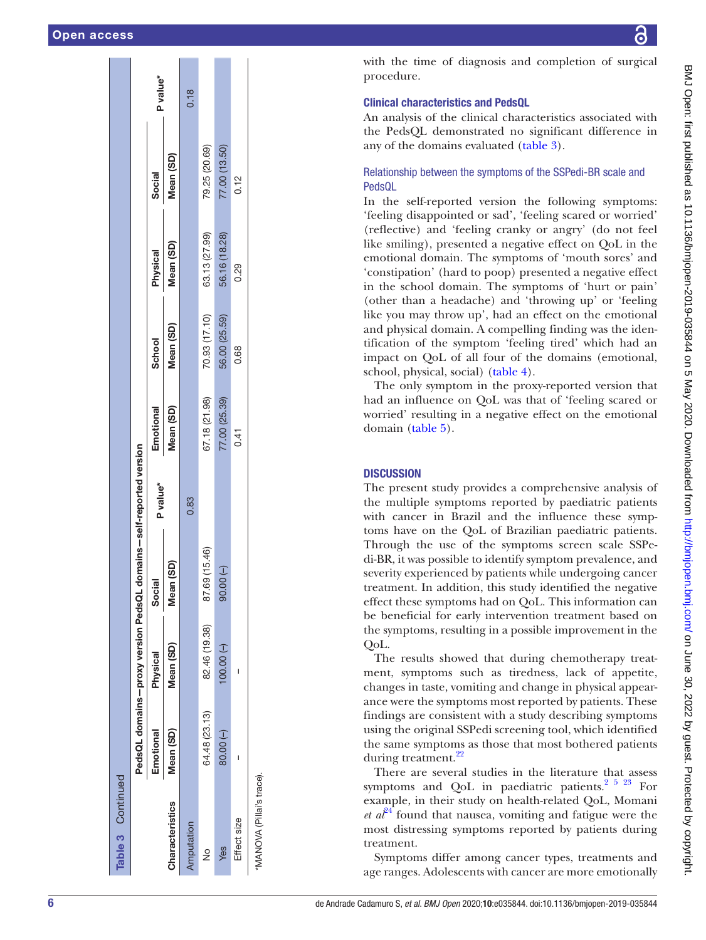| P value*      | Emotional     |               |                 |               |          |
|---------------|---------------|---------------|-----------------|---------------|----------|
|               |               | School        | <b>Physical</b> | Social        | P value* |
|               | Mean (SD)     | Mean (SD)     | Mean (SD)       | Mean (SD)     |          |
| 0.83          |               |               |                 |               | 0.18     |
| 87.69 (15.46) | 67.18 (21.98) | 70.93 (17.10) | 63.13 (27.99)   | 79.25 (20.69) |          |
|               | 77.00 (25.39) | 56.00 (25.59) | 56.16 (18.28)   | 77.00 (13.50) |          |
|               | 0.41          | 0.68          | 0.29            | 0.12          |          |
|               |               |               |                 |               |          |

with the time of diagnosis and completion of surgical procedure.

### Clinical characteristics and PedsQ L

An analysis of the clinical characteristics associated with the PedsQL demonstrated no significant difference in any of the domains evaluated ([table](#page-4-0) 3).

# Relationship between the symptoms of the SSPedi-BR scale and PedsQL

In the self-reported version the following symptoms: 'feeling disappointed or sad', 'feeling scared or worried' (reflective) and 'feeling cranky or angry' (do not feel like smiling), presented a negative effect on QoL in the emotional domain. The symptoms of 'mouth sores' and 'constipation' (hard to poop) presented a negative effect in the school domain. The symptoms of 'hurt or pain' (other than a headache) and 'throwing up' or 'feeling like you may throw up', had an effect on the emotional and physical domain. A compelling finding was the iden tification of the symptom 'feeling tired' which had an impact on QoL of all four of the domains (emotional, school, physical, social) ([table](#page-6-0) 4).

The only symptom in the proxy-reported version that had an influence on QoL was that of 'feeling scared or worried' resulting in a negative effect on the emotional domain [\(table](#page-8-0) 5).

# **DISCUSSION**

The present study provides a comprehensive analysis of the multiple symptoms reported by paediatric patients with cancer in Brazil and the influence these symptoms have on the QoL of Brazilian paediatric patients. Through the use of the symptoms screen scale SSPe di-BR, it was possible to identify symptom prevalence, and severity experienced by patients while undergoing cancer treatment. In addition, this study identified the negative effect these symptoms had on QoL. This information can be beneficial for early intervention treatment based on the symptoms, resulting in a possible improvement in the QoL.

The results showed that during chemotherapy treatment, symptoms such as tiredness, lack of appetite, changes in taste, vomiting and change in physical appearance were the symptoms most reported by patients. These findings are consistent with a study describing symptoms using the original SSPedi screening tool, which identified the same symptoms as those that most bothered patients during treatment.<sup>[22](#page-11-9)</sup>

There are several studies in the literature that assess symptoms and QoL in paediatric patients. $2^{5}$   $2^{3}$  For example, in their study on health-related QoL, Momani *et*  $a^{24}$  $a^{24}$  $a^{24}$  found that nausea, vomiting and fatigue were the most distressing symptoms reported by patients during treatment.

Symptoms differ among cancer types, treatments and age ranges. Adolescents with cancer are more emotionally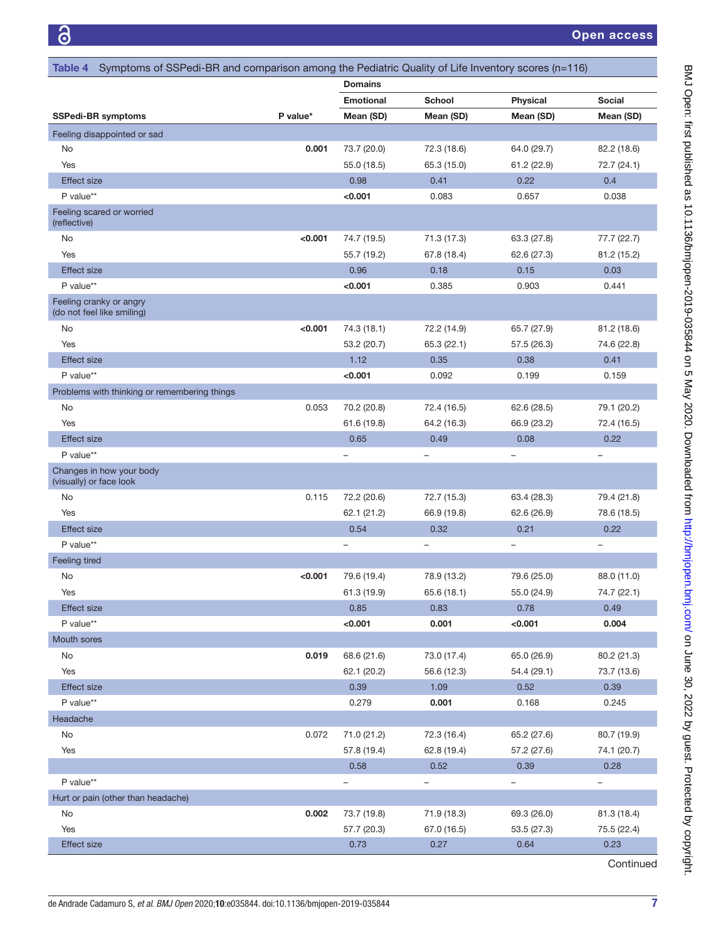<span id="page-6-0"></span>

| Symptoms of SSPedi-BR and comparison among the Pediatric Quality of Life Inventory scores (n=116)<br>Table 4 |          |                          |                          |                          |                          |
|--------------------------------------------------------------------------------------------------------------|----------|--------------------------|--------------------------|--------------------------|--------------------------|
|                                                                                                              |          | <b>Domains</b>           |                          |                          |                          |
|                                                                                                              |          | <b>Emotional</b>         | School                   | <b>Physical</b>          | <b>Social</b>            |
| <b>SSPedi-BR symptoms</b>                                                                                    | P value* | Mean (SD)                | Mean (SD)                | Mean (SD)                | Mean (SD)                |
| Feeling disappointed or sad                                                                                  |          |                          |                          |                          |                          |
| No                                                                                                           | 0.001    | 73.7 (20.0)              | 72.3 (18.6)              | 64.0 (29.7)              | 82.2 (18.6)              |
| Yes                                                                                                          |          | 55.0 (18.5)              | 65.3 (15.0)              | 61.2(22.9)               | 72.7 (24.1)              |
| <b>Effect size</b>                                                                                           |          | 0.98                     | 0.41                     | 0.22                     | 0.4                      |
| P value**                                                                                                    |          | < 0.001                  | 0.083                    | 0.657                    | 0.038                    |
| Feeling scared or worried<br>(reflective)                                                                    |          |                          |                          |                          |                          |
| No                                                                                                           | < 0.001  | 74.7 (19.5)              | 71.3 (17.3)              | 63.3 (27.8)              | 77.7 (22.7)              |
| Yes                                                                                                          |          | 55.7 (19.2)              | 67.8 (18.4)              | 62.6 (27.3)              | 81.2 (15.2)              |
| <b>Effect size</b>                                                                                           |          | 0.96                     | 0.18                     | 0.15                     | 0.03                     |
| P value**                                                                                                    |          | < 0.001                  | 0.385                    | 0.903                    | 0.441                    |
| Feeling cranky or angry<br>(do not feel like smiling)                                                        |          |                          |                          |                          |                          |
| No                                                                                                           | < 0.001  | 74.3 (18.1)              | 72.2 (14.9)              | 65.7 (27.9)              | 81.2 (18.6)              |
| Yes                                                                                                          |          | 53.2 (20.7)              | 65.3 (22.1)              | 57.5 (26.3)              | 74.6 (22.8)              |
| <b>Effect size</b>                                                                                           |          | 1.12                     | 0.35                     | 0.38                     | 0.41                     |
| P value**                                                                                                    |          | < 0.001                  | 0.092                    | 0.199                    | 0.159                    |
| Problems with thinking or remembering things                                                                 |          |                          |                          |                          |                          |
| No                                                                                                           | 0.053    | 70.2 (20.8)              | 72.4 (16.5)              | 62.6 (28.5)              | 79.1 (20.2)              |
| Yes                                                                                                          |          | 61.6 (19.8)              | 64.2 (16.3)              | 66.9 (23.2)              | 72.4 (16.5)              |
| <b>Effect size</b>                                                                                           |          | 0.65                     | 0.49                     | 0.08                     | 0.22                     |
| P value**                                                                                                    |          | $\qquad \qquad -$        | $\overline{\phantom{0}}$ | $\overline{\phantom{0}}$ | $\overline{\phantom{0}}$ |
| Changes in how your body<br>(visually) or face look                                                          |          |                          |                          |                          |                          |
| No                                                                                                           | 0.115    | 72.2 (20.6)              | 72.7 (15.3)              | 63.4 (28.3)              | 79.4 (21.8)              |
| Yes                                                                                                          |          | 62.1(21.2)               | 66.9 (19.8)              | 62.6 (26.9)              | 78.6 (18.5)              |
| <b>Effect size</b>                                                                                           |          | 0.54                     | 0.32                     | 0.21                     | 0.22                     |
| P value**                                                                                                    |          |                          |                          |                          | $\overline{a}$           |
| <b>Feeling tired</b>                                                                                         |          |                          |                          |                          |                          |
| No                                                                                                           | < 0.001  | 79.6 (19.4)              | 78.9 (13.2)              | 79.6 (25.0)              | 88.0 (11.0)              |
| Yes                                                                                                          |          | 61.3 (19.9)              | 65.6 (18.1)              | 55.0 (24.9)              | 74.7 (22.1)              |
| <b>Effect size</b>                                                                                           |          | 0.85                     | 0.83                     | 0.78                     | 0.49                     |
| P value**                                                                                                    |          | < 0.001                  | 0.001                    | < 0.001                  | 0.004                    |
| Mouth sores                                                                                                  |          |                          |                          |                          |                          |
| No                                                                                                           | 0.019    | 68.6 (21.6)              | 73.0 (17.4)              | 65.0 (26.9)              | 80.2 (21.3)              |
| Yes                                                                                                          |          | 62.1 (20.2)              | 56.6 (12.3)              | 54.4 (29.1)              | 73.7 (13.6)              |
| Effect size                                                                                                  |          | 0.39                     | 1.09                     | 0.52                     | 0.39                     |
| P value**                                                                                                    |          | 0.279                    | 0.001                    | 0.168                    | 0.245                    |
| Headache                                                                                                     |          |                          |                          |                          |                          |
| No                                                                                                           | 0.072    | 71.0 (21.2)              | 72.3 (16.4)              | 65.2 (27.6)              | 80.7 (19.9)              |
| Yes                                                                                                          |          | 57.8 (19.4)              | 62.8 (19.4)              | 57.2 (27.6)              | 74.1 (20.7)              |
|                                                                                                              |          | 0.58                     | 0.52                     | 0.39                     | 0.28                     |
| P value**                                                                                                    |          | $\overline{\phantom{a}}$ | $\qquad \qquad -$        | $\qquad \qquad -$        | $\overline{\phantom{0}}$ |
| Hurt or pain (other than headache)                                                                           |          |                          |                          |                          |                          |
| No                                                                                                           | 0.002    | 73.7 (19.8)              | 71.9 (18.3)              | 69.3 (26.0)              | 81.3 (18.4)              |
| Yes                                                                                                          |          | 57.7 (20.3)              | 67.0 (16.5)              | 53.5 (27.3)              | 75.5 (22.4)              |
| Effect size                                                                                                  |          | 0.73                     | 0.27                     | 0.64                     | 0.23                     |

Continued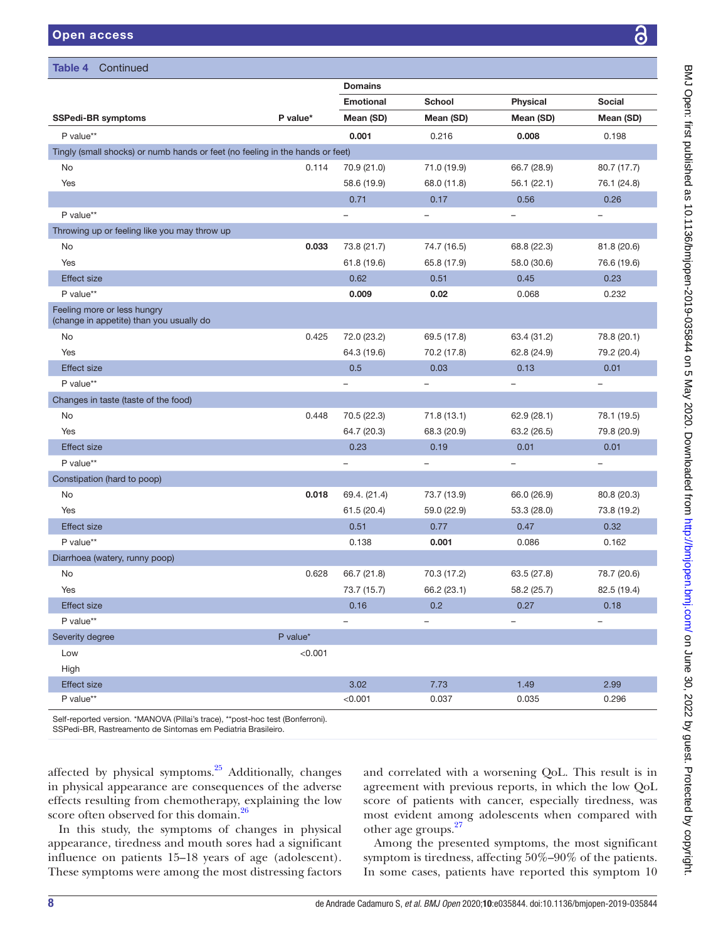| <b>Table 4</b><br>Continued                                                   |          |                          |                          |                          |                          |
|-------------------------------------------------------------------------------|----------|--------------------------|--------------------------|--------------------------|--------------------------|
|                                                                               |          | <b>Domains</b>           |                          |                          |                          |
|                                                                               |          | <b>Emotional</b>         | <b>School</b>            | Physical                 | <b>Social</b>            |
| <b>SSPedi-BR symptoms</b>                                                     | P value* | Mean (SD)                | Mean (SD)                | Mean (SD)                | Mean (SD)                |
| P value**                                                                     |          | 0.001                    | 0.216                    | 0.008                    | 0.198                    |
| Tingly (small shocks) or numb hands or feet (no feeling in the hands or feet) |          |                          |                          |                          |                          |
| No                                                                            | 0.114    | 70.9 (21.0)              | 71.0 (19.9)              | 66.7 (28.9)              | 80.7 (17.7)              |
| Yes                                                                           |          | 58.6 (19.9)              | 68.0 (11.8)              | 56.1(22.1)               | 76.1 (24.8)              |
|                                                                               |          | 0.71                     | 0.17                     | 0.56                     | 0.26                     |
| P value**                                                                     |          | <sup>-</sup>             | $\qquad \qquad -$        |                          | $\overline{\phantom{0}}$ |
| Throwing up or feeling like you may throw up                                  |          |                          |                          |                          |                          |
| No                                                                            | 0.033    | 73.8 (21.7)              | 74.7 (16.5)              | 68.8 (22.3)              | 81.8 (20.6)              |
| Yes                                                                           |          | 61.8 (19.6)              | 65.8 (17.9)              | 58.0 (30.6)              | 76.6 (19.6)              |
| <b>Effect size</b>                                                            |          | 0.62                     | 0.51                     | 0.45                     | 0.23                     |
| P value**                                                                     |          | 0.009                    | 0.02                     | 0.068                    | 0.232                    |
| Feeling more or less hungry<br>(change in appetite) than you usually do       |          |                          |                          |                          |                          |
| No                                                                            | 0.425    | 72.0 (23.2)              | 69.5 (17.8)              | 63.4 (31.2)              | 78.8 (20.1)              |
| Yes                                                                           |          | 64.3 (19.6)              | 70.2 (17.8)              | 62.8 (24.9)              | 79.2 (20.4)              |
| <b>Effect size</b>                                                            |          | 0.5                      | 0.03                     | 0.13                     | 0.01                     |
| P value**                                                                     |          |                          |                          |                          |                          |
| Changes in taste (taste of the food)                                          |          |                          |                          |                          |                          |
| No                                                                            | 0.448    | 70.5 (22.3)              | 71.8 (13.1)              | 62.9(28.1)               | 78.1 (19.5)              |
| Yes                                                                           |          | 64.7 (20.3)              | 68.3 (20.9)              | 63.2 (26.5)              | 79.8 (20.9)              |
| <b>Effect size</b>                                                            |          | 0.23                     | 0.19                     | 0.01                     | 0.01                     |
| P value**                                                                     |          | $\overline{\phantom{0}}$ | $\overline{\phantom{0}}$ | $\overline{\phantom{0}}$ | $\overline{\phantom{0}}$ |
| Constipation (hard to poop)                                                   |          |                          |                          |                          |                          |
| No                                                                            | 0.018    | 69.4. (21.4)             | 73.7 (13.9)              | 66.0 (26.9)              | 80.8 (20.3)              |
| Yes                                                                           |          | 61.5(20.4)               | 59.0 (22.9)              | 53.3 (28.0)              | 73.8 (19.2)              |
| <b>Effect size</b>                                                            |          | 0.51                     | 0.77                     | 0.47                     | 0.32                     |
| P value**                                                                     |          | 0.138                    | 0.001                    | 0.086                    | 0.162                    |
| Diarrhoea (watery, runny poop)                                                |          |                          |                          |                          |                          |
| No                                                                            | 0.628    | 66.7 (21.8)              | 70.3 (17.2)              | 63.5 (27.8)              | 78.7 (20.6)              |
| Yes                                                                           |          | 73.7 (15.7)              | 66.2 (23.1)              | 58.2 (25.7)              | 82.5 (19.4)              |
| <b>Effect size</b>                                                            |          | 0.16                     | 0.2                      | 0.27                     | 0.18                     |
| P value**                                                                     |          | $\overline{\phantom{0}}$ | $\overline{\phantom{0}}$ | $\overline{\phantom{0}}$ | $\overline{\phantom{0}}$ |
| Severity degree                                                               | P value* |                          |                          |                          |                          |
| Low                                                                           | < 0.001  |                          |                          |                          |                          |
| High                                                                          |          |                          |                          |                          |                          |
| <b>Effect size</b>                                                            |          | 3.02                     | 7.73                     | 1.49                     | 2.99                     |
| P value**                                                                     |          | < 0.001                  | 0.037                    | 0.035                    | 0.296                    |

Self-reported version. \*MANOVA (Pillai's trace), \*\*post-hoc test (Bonferroni).

SSPedi-BR, Rastreamento de Sintomas em Pediatria Brasileiro.

affected by physical symptoms.[25](#page-11-11) Additionally, changes in physical appearance are consequences of the adverse effects resulting from chemotherapy, explaining the low score often observed for this domain.<sup>[26](#page-11-12)</sup>

In this study, the symptoms of changes in physical appearance, tiredness and mouth sores had a significant influence on patients 15–18 years of age (adolescent). These symptoms were among the most distressing factors

and correlated with a worsening QoL. This result is in agreement with previous reports, in which the low QoL score of patients with cancer, especially tiredness, was most evident among adolescents when compared with other age groups.<sup>27</sup>

Among the presented symptoms, the most significant symptom is tiredness, affecting 50%–90% of the patients. In some cases, patients have reported this symptom 10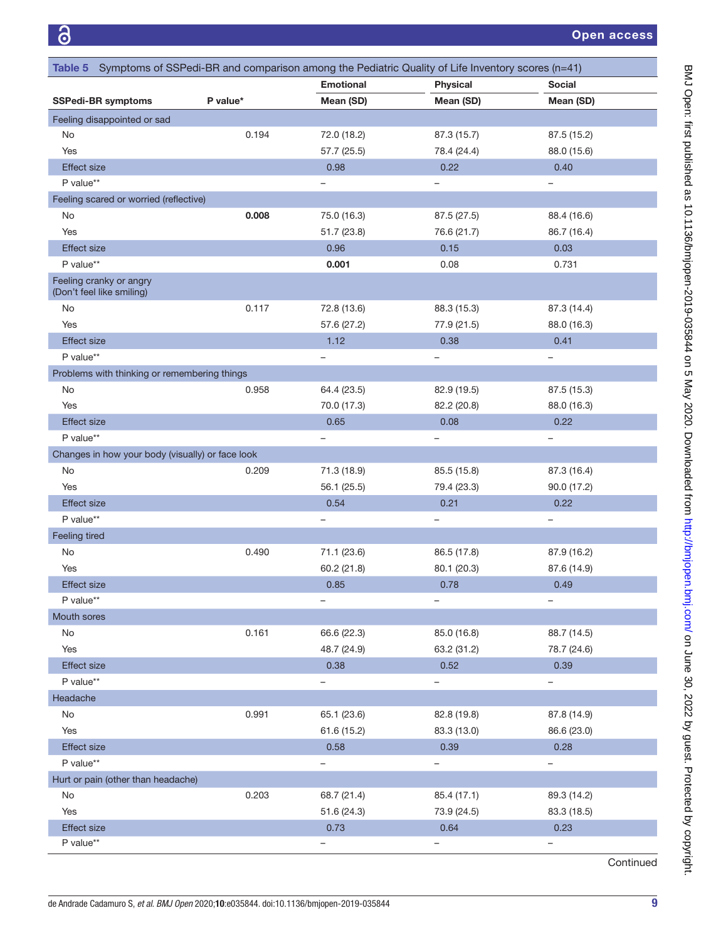<span id="page-8-0"></span>

| Table 5 Symptoms of SSPedi-BR and comparison among the Pediatric Quality of Life Inventory scores (n=41) |          |                          |                          |                          |  |
|----------------------------------------------------------------------------------------------------------|----------|--------------------------|--------------------------|--------------------------|--|
|                                                                                                          |          | <b>Emotional</b>         | <b>Physical</b>          | <b>Social</b>            |  |
| <b>SSPedi-BR symptoms</b>                                                                                | P value* | Mean (SD)                | Mean (SD)                | Mean (SD)                |  |
| Feeling disappointed or sad                                                                              |          |                          |                          |                          |  |
| No                                                                                                       | 0.194    | 72.0 (18.2)              | 87.3 (15.7)              | 87.5 (15.2)              |  |
| Yes                                                                                                      |          | 57.7 (25.5)              | 78.4 (24.4)              | 88.0 (15.6)              |  |
| <b>Effect size</b>                                                                                       |          | 0.98                     | 0.22                     | 0.40                     |  |
| P value**                                                                                                |          | $\overline{\phantom{0}}$ | $\overline{\phantom{0}}$ | $\overline{\phantom{0}}$ |  |
| Feeling scared or worried (reflective)                                                                   |          |                          |                          |                          |  |
| No                                                                                                       | 0.008    | 75.0 (16.3)              | 87.5 (27.5)              | 88.4 (16.6)              |  |
| Yes                                                                                                      |          | 51.7 (23.8)              | 76.6 (21.7)              | 86.7 (16.4)              |  |
| <b>Effect size</b>                                                                                       |          | 0.96                     | 0.15                     | 0.03                     |  |
| P value**                                                                                                |          | 0.001                    | 0.08                     | 0.731                    |  |
| Feeling cranky or angry<br>(Don't feel like smiling)                                                     |          |                          |                          |                          |  |
| No                                                                                                       | 0.117    | 72.8 (13.6)              | 88.3 (15.3)              | 87.3 (14.4)              |  |
| Yes                                                                                                      |          | 57.6 (27.2)              | 77.9 (21.5)              | 88.0 (16.3)              |  |
| <b>Effect size</b>                                                                                       |          | 1.12                     | 0.38                     | 0.41                     |  |
| P value**                                                                                                |          |                          | -                        | -                        |  |
| Problems with thinking or remembering things                                                             |          |                          |                          |                          |  |
| No                                                                                                       | 0.958    | 64.4 (23.5)              | 82.9 (19.5)              | 87.5 (15.3)              |  |
| Yes                                                                                                      |          | 70.0 (17.3)              | 82.2 (20.8)              | 88.0 (16.3)              |  |
| <b>Effect size</b>                                                                                       |          | 0.65                     | 0.08                     | 0.22                     |  |
| P value**                                                                                                |          | $\overline{\phantom{0}}$ | $\qquad \qquad -$        | $\qquad \qquad -$        |  |
| Changes in how your body (visually) or face look                                                         |          |                          |                          |                          |  |
| No                                                                                                       | 0.209    | 71.3 (18.9)              | 85.5 (15.8)              | 87.3 (16.4)              |  |
| Yes                                                                                                      |          | 56.1 (25.5)              | 79.4 (23.3)              | 90.0 (17.2)              |  |
| <b>Effect size</b>                                                                                       |          | 0.54                     | 0.21                     | 0.22                     |  |
| P value**                                                                                                |          |                          | $\overline{\phantom{0}}$ | $\overline{\phantom{0}}$ |  |
| Feeling tired                                                                                            |          |                          |                          |                          |  |
| No                                                                                                       | 0.490    | 71.1 (23.6)              | 86.5 (17.8)              | 87.9 (16.2)              |  |
| Yes                                                                                                      |          | 60.2 (21.8)              | 80.1 (20.3)              | 87.6 (14.9)              |  |
| <b>Effect size</b>                                                                                       |          | 0.85                     | 0.78                     | 0.49                     |  |
| P value**                                                                                                |          | $\qquad \qquad -$        | $\qquad \qquad -$        | $\qquad \qquad -$        |  |
| Mouth sores                                                                                              |          |                          |                          |                          |  |
| No                                                                                                       | 0.161    | 66.6 (22.3)              | 85.0 (16.8)              | 88.7 (14.5)              |  |
| Yes                                                                                                      |          | 48.7 (24.9)              | 63.2 (31.2)              | 78.7 (24.6)              |  |
| <b>Effect size</b>                                                                                       |          | 0.38                     | 0.52                     | 0.39                     |  |
| P value**                                                                                                |          |                          | -                        | $\overline{\phantom{0}}$ |  |
| Headache                                                                                                 |          |                          |                          |                          |  |
| No                                                                                                       | 0.991    | 65.1 (23.6)              | 82.8 (19.8)              | 87.8 (14.9)              |  |
| Yes                                                                                                      |          | 61.6 (15.2)              | 83.3 (13.0)              | 86.6 (23.0)              |  |
| <b>Effect size</b>                                                                                       |          | 0.58                     | 0.39                     | 0.28                     |  |
| P value**                                                                                                |          | $\overline{\phantom{0}}$ | $\overline{a}$           | $\overline{\phantom{0}}$ |  |
| Hurt or pain (other than headache)                                                                       |          |                          |                          |                          |  |
| No                                                                                                       | 0.203    | 68.7 (21.4)              | 85.4 (17.1)              | 89.3 (14.2)              |  |
| Yes                                                                                                      |          | 51.6 (24.3)              | 73.9 (24.5)              | 83.3 (18.5)              |  |
| <b>Effect size</b>                                                                                       |          | 0.73                     | 0.64                     | 0.23                     |  |
| P value**                                                                                                |          | -                        | $\overline{\phantom{0}}$ | $\overline{\phantom{0}}$ |  |

Continued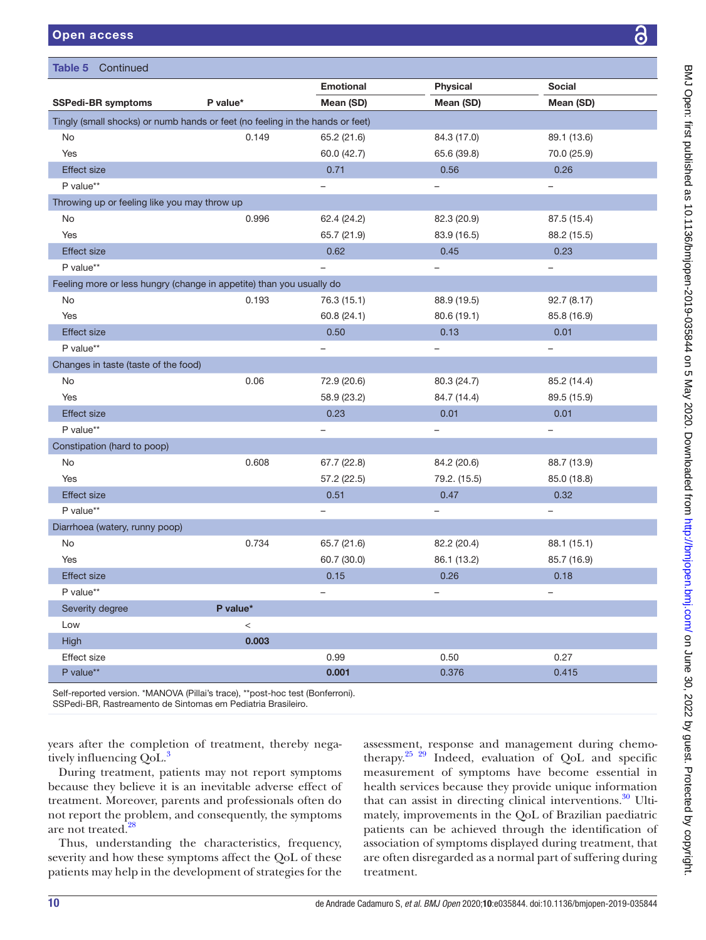Table 5 Continued

|                                                                               |          | <b>Emotional</b> | Physical                 | <b>Social</b>            |
|-------------------------------------------------------------------------------|----------|------------------|--------------------------|--------------------------|
| <b>SSPedi-BR symptoms</b>                                                     | P value* | Mean (SD)        | Mean (SD)                | Mean (SD)                |
| Tingly (small shocks) or numb hands or feet (no feeling in the hands or feet) |          |                  |                          |                          |
| No                                                                            | 0.149    | 65.2 (21.6)      | 84.3 (17.0)              | 89.1 (13.6)              |
| Yes                                                                           |          | 60.0 (42.7)      | 65.6 (39.8)              | 70.0 (25.9)              |
| <b>Effect size</b>                                                            |          | 0.71             | 0.56                     | 0.26                     |
| P value**                                                                     |          |                  | $\overline{\phantom{0}}$ | $\overline{a}$           |
| Throwing up or feeling like you may throw up                                  |          |                  |                          |                          |
| No                                                                            | 0.996    | 62.4 (24.2)      | 82.3 (20.9)              | 87.5 (15.4)              |
| Yes                                                                           |          | 65.7 (21.9)      | 83.9 (16.5)              | 88.2 (15.5)              |
| <b>Effect size</b>                                                            |          | 0.62             | 0.45                     | 0.23                     |
| P value**                                                                     |          |                  |                          | $\overline{a}$           |
| Feeling more or less hungry (change in appetite) than you usually do          |          |                  |                          |                          |
| No                                                                            | 0.193    | 76.3 (15.1)      | 88.9 (19.5)              | 92.7(8.17)               |
| Yes                                                                           |          | 60.8 (24.1)      | 80.6 (19.1)              | 85.8 (16.9)              |
| <b>Effect size</b>                                                            |          | 0.50             | 0.13                     | 0.01                     |
| P value**                                                                     |          |                  |                          | $\equiv$                 |
| Changes in taste (taste of the food)                                          |          |                  |                          |                          |
| No                                                                            | 0.06     | 72.9 (20.6)      | 80.3 (24.7)              | 85.2 (14.4)              |
| Yes                                                                           |          | 58.9 (23.2)      | 84.7 (14.4)              | 89.5 (15.9)              |
| <b>Effect size</b>                                                            |          | 0.23             | 0.01                     | 0.01                     |
| P value**                                                                     |          |                  | $\equiv$                 | $\overline{a}$           |
| Constipation (hard to poop)                                                   |          |                  |                          |                          |
| No                                                                            | 0.608    | 67.7 (22.8)      | 84.2 (20.6)              | 88.7 (13.9)              |
| Yes                                                                           |          | 57.2 (22.5)      | 79.2. (15.5)             | 85.0 (18.8)              |
| <b>Effect size</b>                                                            |          | 0.51             | 0.47                     | 0.32                     |
| P value**                                                                     |          | L.               | $\overline{\phantom{0}}$ | $\overline{\phantom{0}}$ |
| Diarrhoea (watery, runny poop)                                                |          |                  |                          |                          |
| No                                                                            | 0.734    | 65.7 (21.6)      | 82.2 (20.4)              | 88.1 (15.1)              |
| Yes                                                                           |          | 60.7 (30.0)      | 86.1 (13.2)              | 85.7 (16.9)              |
| <b>Effect size</b>                                                            |          | 0.15             | 0.26                     | 0.18                     |
| P value**                                                                     |          | -                | $\overline{\phantom{a}}$ | $\overline{a}$           |
| Severity degree                                                               | P value* |                  |                          |                          |
| Low                                                                           | $\,<$    |                  |                          |                          |
| <b>High</b>                                                                   | 0.003    |                  |                          |                          |
| <b>Effect size</b>                                                            |          | 0.99             | 0.50                     | 0.27                     |
| P value**                                                                     |          | 0.001            | 0.376                    | 0.415                    |

Self-reported version. \*MANOVA (Pillai's trace), \*\*post-hoc test (Bonferroni). SSPedi-BR, Rastreamento de Sintomas em Pediatria Brasileiro.

years after the completion of treatment, thereby negatively influencing QoL.<sup>3</sup>

During treatment, patients may not report symptoms because they believe it is an inevitable adverse effect of treatment. Moreover, parents and professionals often do not report the problem, and consequently, the symptoms are not treated.<sup>[28](#page-11-14)</sup>

Thus, understanding the characteristics, frequency, severity and how these symptoms affect the QoL of these patients may help in the development of strategies for the

assessment, response and management during chemotherapy. $25\frac{29}{9}$  Indeed, evaluation of QoL and specific measurement of symptoms have become essential in health services because they provide unique information that can assist in directing clinical interventions.<sup>30</sup> Ultimately, improvements in the QoL of Brazilian paediatric patients can be achieved through the identification of association of symptoms displayed during treatment, that are often disregarded as a normal part of suffering during treatment.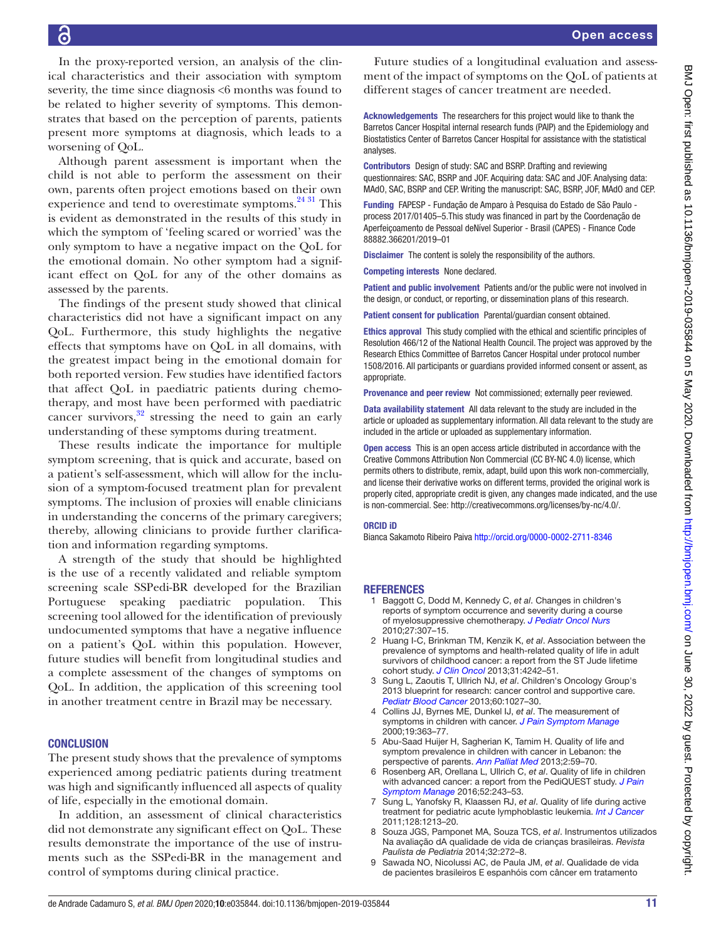6

In the proxy-reported version, an analysis of the clinical characteristics and their association with symptom severity, the time since diagnosis <6 months was found to be related to higher severity of symptoms. This demonstrates that based on the perception of parents, patients present more symptoms at diagnosis, which leads to a worsening of QoL.

Although parent assessment is important when the child is not able to perform the assessment on their own, parents often project emotions based on their own experience and tend to overestimate symptoms.<sup>24 31</sup> This is evident as demonstrated in the results of this study in which the symptom of 'feeling scared or worried' was the only symptom to have a negative impact on the QoL for the emotional domain. No other symptom had a significant effect on QoL for any of the other domains as assessed by the parents.

The findings of the present study showed that clinical characteristics did not have a significant impact on any QoL. Furthermore, this study highlights the negative effects that symptoms have on QoL in all domains, with the greatest impact being in the emotional domain for both reported version. Few studies have identified factors that affect QoL in paediatric patients during chemotherapy, and most have been performed with paediatric cancer survivors, $32$  stressing the need to gain an early understanding of these symptoms during treatment.

These results indicate the importance for multiple symptom screening, that is quick and accurate, based on a patient's self-assessment, which will allow for the inclusion of a symptom-focused treatment plan for prevalent symptoms. The inclusion of proxies will enable clinicians in understanding the concerns of the primary caregivers; thereby, allowing clinicians to provide further clarification and information regarding symptoms.

A strength of the study that should be highlighted is the use of a recently validated and reliable symptom screening scale SSPedi-BR developed for the Brazilian Portuguese speaking paediatric population. This screening tool allowed for the identification of previously undocumented symptoms that have a negative influence on a patient's QoL within this population. However, future studies will benefit from longitudinal studies and a complete assessment of the changes of symptoms on QoL. In addition, the application of this screening tool in another treatment centre in Brazil may be necessary.

# **CONCLUSION**

The present study shows that the prevalence of symptoms experienced among pediatric patients during treatment was high and significantly influenced all aspects of quality of life, especially in the emotional domain.

In addition, an assessment of clinical characteristics did not demonstrate any significant effect on QoL. These results demonstrate the importance of the use of instruments such as the SSPedi-BR in the management and control of symptoms during clinical practice.

Future studies of a longitudinal evaluation and assessment of the impact of symptoms on the QoL of patients at different stages of cancer treatment are needed.

Acknowledgements The researchers for this project would like to thank the Barretos Cancer Hospital internal research funds (PAIP) and the Epidemiology and Biostatistics Center of Barretos Cancer Hospital for assistance with the statistical analyses.

Contributors Design of study: SAC and BSRP. Drafting and reviewing questionnaires: SAC, BSRP and JOF. Acquiring data: SAC and JOF. Analysing data: MAdO, SAC, BSRP and CEP. Writing the manuscript: SAC, BSRP, JOF, MAdO and CEP.

Funding FAPESP - Fundação de Amparo à Pesquisa do Estado de São Paulo process 2017/01405–5.This study was financed in part by the Coordenação de Aperfeiçoamento de Pessoal deNível Superior - Brasil (CAPES) - Finance Code 88882.366201/2019–01

**Disclaimer** The content is solely the responsibility of the authors.

Competing interests None declared.

Patient and public involvement Patients and/or the public were not involved in the design, or conduct, or reporting, or dissemination plans of this research.

Patient consent for publication Parental/quardian consent obtained.

Ethics approval This study complied with the ethical and scientific principles of Resolution 466/12 of the National Health Council. The project was approved by the Research Ethics Committee of Barretos Cancer Hospital under protocol number 1508/2016. All participants or guardians provided informed consent or assent, as appropriate.

Provenance and peer review Not commissioned; externally peer reviewed.

Data availability statement All data relevant to the study are included in the article or uploaded as supplementary information. All data relevant to the study are included in the article or uploaded as supplementary information.

Open access This is an open access article distributed in accordance with the Creative Commons Attribution Non Commercial (CC BY-NC 4.0) license, which permits others to distribute, remix, adapt, build upon this work non-commercially, and license their derivative works on different terms, provided the original work is properly cited, appropriate credit is given, any changes made indicated, and the use is non-commercial. See: [http://creativecommons.org/licenses/by-nc/4.0/.](http://creativecommons.org/licenses/by-nc/4.0/)

# ORCID iD

Bianca Sakamoto Ribeiro Paiva<http://orcid.org/0000-0002-2711-8346>

# **REFERENCES**

- <span id="page-10-0"></span>1 Baggott C, Dodd M, Kennedy C, *et al*. Changes in children's reports of symptom occurrence and severity during a course of myelosuppressive chemotherapy. *[J Pediatr Oncol Nurs](http://dx.doi.org/10.1177/1043454210377619)* 2010;27:307–15.
- <span id="page-10-1"></span>2 Huang I-C, Brinkman TM, Kenzik K, *et al*. Association between the prevalence of symptoms and health-related quality of life in adult survivors of childhood cancer: a report from the ST Jude lifetime cohort study. *[J Clin Oncol](http://dx.doi.org/10.1200/JCO.2012.47.8867)* 2013;31:4242–51.
- <span id="page-10-7"></span>3 Sung L, Zaoutis T, Ullrich NJ, *et al*. Children's Oncology Group's 2013 blueprint for research: cancer control and supportive care. *[Pediatr Blood Cancer](http://dx.doi.org/10.1002/pbc.24426)* 2013;60:1027–30.
- <span id="page-10-2"></span>4 Collins JJ, Byrnes ME, Dunkel IJ, *et al*. The measurement of symptoms in children with cancer. *[J Pain Symptom Manage](http://dx.doi.org/10.1016/S0885-3924(00)00127-5)* 2000;19:363–77.
- <span id="page-10-3"></span>5 Abu-Saad Huijer H, Sagherian K, Tamim H. Quality of life and symptom prevalence in children with cancer in Lebanon: the perspective of parents. *[Ann Palliat Med](http://dx.doi.org/10.3978/j.issn.2224-5820.2013.03.01)* 2013;2:59–70.
- <span id="page-10-4"></span>6 Rosenberg AR, Orellana L, Ullrich C, *et al*. Quality of life in children with advanced cancer: a report from the PediQUEST study. *[J Pain](http://dx.doi.org/10.1016/j.jpainsymman.2016.04.002)  [Symptom Manage](http://dx.doi.org/10.1016/j.jpainsymman.2016.04.002)* 2016;52:243–53.
- 7 Sung L, Yanofsky R, Klaassen RJ, *et al*. Quality of life during active treatment for pediatric acute lymphoblastic leukemia. *[Int J Cancer](http://dx.doi.org/10.1002/ijc.25433)* 2011;128:1213–20.
- <span id="page-10-5"></span>8 Souza JGS, Pamponet MA, Souza TCS, *et al*. Instrumentos utilizados Na avaliação dA qualidade de vida de crianças brasileiras. *Revista Paulista de Pediatria* 2014;32:272–8.
- <span id="page-10-6"></span>9 Sawada NO, Nicolussi AC, de Paula JM, *et al*. Qualidade de vida de pacientes brasileiros E espanhóis com câncer em tratamento